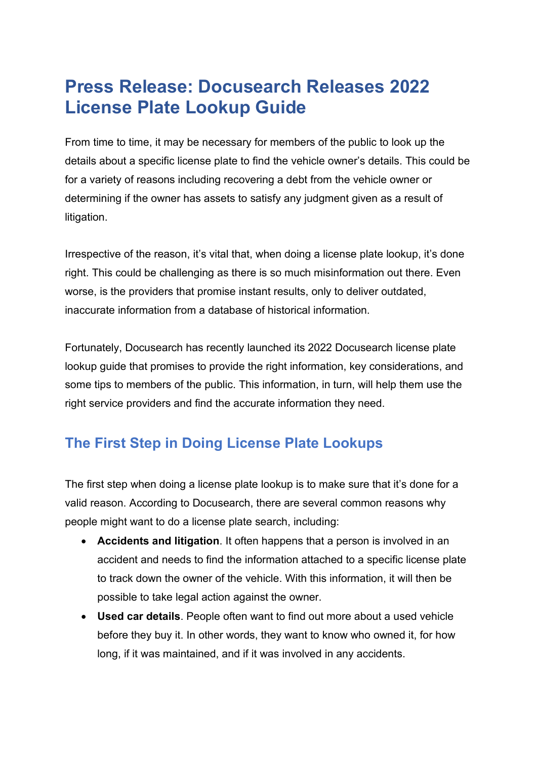## **Press Release: Docusearch Releases 2022 License Plate Lookup Guide**

From time to time, it may be necessary for members of the public to look up the details about a specific license plate to find the vehicle owner's details. This could be for a variety of reasons including recovering a debt from the vehicle owner or determining if the owner has assets to satisfy any judgment given as a result of litigation.

Irrespective of the reason, it's vital that, when doing a license plate lookup, it's done right. This could be challenging as there is so much misinformation out there. Even worse, is the providers that promise instant results, only to deliver outdated, inaccurate information from a database of historical information.

Fortunately, Docusearch has recently launched its 2022 Docusearch license plate lookup guide that promises to provide the right information, key considerations, and some tips to members of the public. This information, in turn, will help them use the right service providers and find the accurate information they need.

## **The First Step in Doing License Plate Lookups**

The first step when doing a license plate lookup is to make sure that it's done for a valid reason. According to Docusearch, there are several common reasons why people might want to do a license plate search, including:

- **Accidents and litigation**. It often happens that a person is involved in an accident and needs to find the information attached to a specific license plate to track down the owner of the vehicle. With this information, it will then be possible to take legal action against the owner.
- **Used car details**. People often want to find out more about a used vehicle before they buy it. In other words, they want to know who owned it, for how long, if it was maintained, and if it was involved in any accidents.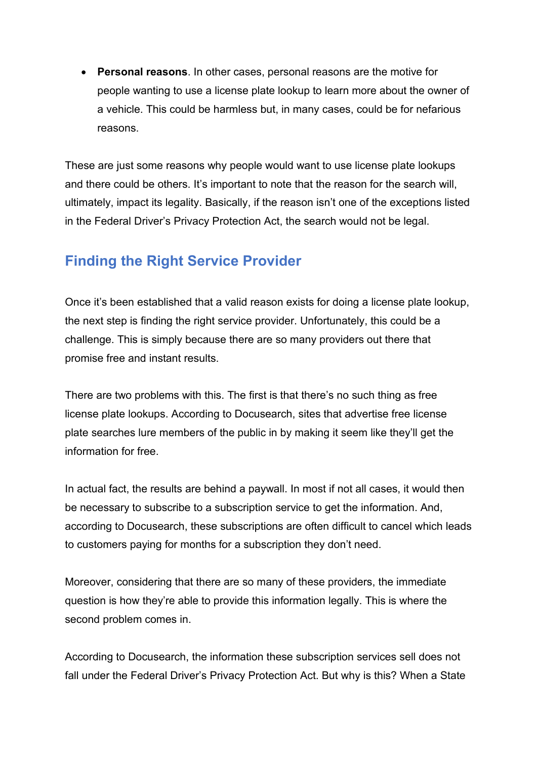• **Personal reasons**. In other cases, personal reasons are the motive for people wanting to use a license plate lookup to learn more about the owner of a vehicle. This could be harmless but, in many cases, could be for nefarious reasons.

These are just some reasons why people would want to use license plate lookups and there could be others. It's important to note that the reason for the search will, ultimately, impact its legality. Basically, if the reason isn't one of the exceptions listed in the Federal Driver's Privacy Protection Act, the search would not be legal.

## **Finding the Right Service Provider**

Once it's been established that a valid reason exists for doing a license plate lookup, the next step is finding the right service provider. Unfortunately, this could be a challenge. This is simply because there are so many providers out there that promise free and instant results.

There are two problems with this. The first is that there's no such thing as free license plate lookups. According to Docusearch, sites that advertise free license plate searches lure members of the public in by making it seem like they'll get the information for free.

In actual fact, the results are behind a paywall. In most if not all cases, it would then be necessary to subscribe to a subscription service to get the information. And, according to Docusearch, these subscriptions are often difficult to cancel which leads to customers paying for months for a subscription they don't need.

Moreover, considering that there are so many of these providers, the immediate question is how they're able to provide this information legally. This is where the second problem comes in.

According to Docusearch, the information these subscription services sell does not fall under the Federal Driver's Privacy Protection Act. But why is this? When a State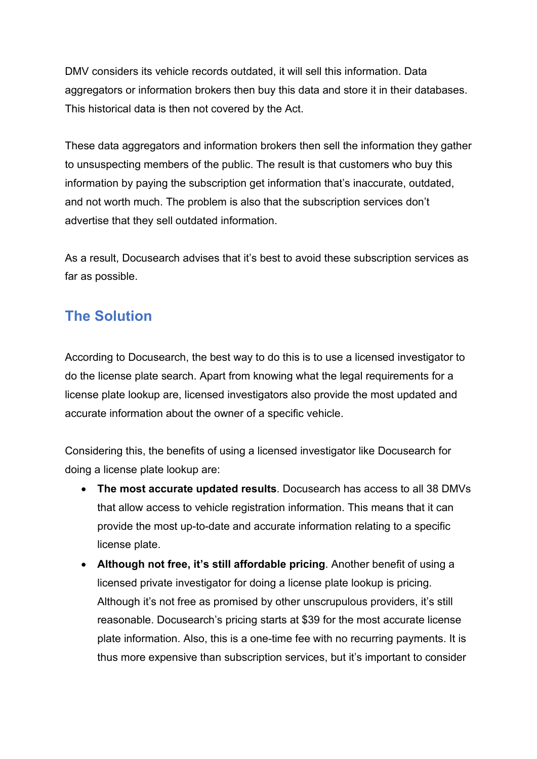DMV considers its vehicle records outdated, it will sell this information. Data aggregators or information brokers then buy this data and store it in their databases. This historical data is then not covered by the Act.

These data aggregators and information brokers then sell the information they gather to unsuspecting members of the public. The result is that customers who buy this information by paying the subscription get information that's inaccurate, outdated, and not worth much. The problem is also that the subscription services don't advertise that they sell outdated information.

As a result, Docusearch advises that it's best to avoid these subscription services as far as possible.

## **The Solution**

According to Docusearch, the best way to do this is to use a licensed investigator to do the license plate search. Apart from knowing what the legal requirements for a license plate lookup are, licensed investigators also provide the most updated and accurate information about the owner of a specific vehicle.

Considering this, the benefits of using a licensed investigator like Docusearch for doing a license plate lookup are:

- **The most accurate updated results**. Docusearch has access to all 38 DMVs that allow access to vehicle registration information. This means that it can provide the most up-to-date and accurate information relating to a specific license plate.
- **Although not free, it's still affordable pricing**. Another benefit of using a licensed private investigator for doing a license plate lookup is pricing. Although it's not free as promised by other unscrupulous providers, it's still reasonable. Docusearch's pricing starts at \$39 for the most accurate license plate information. Also, this is a one-time fee with no recurring payments. It is thus more expensive than subscription services, but it's important to consider